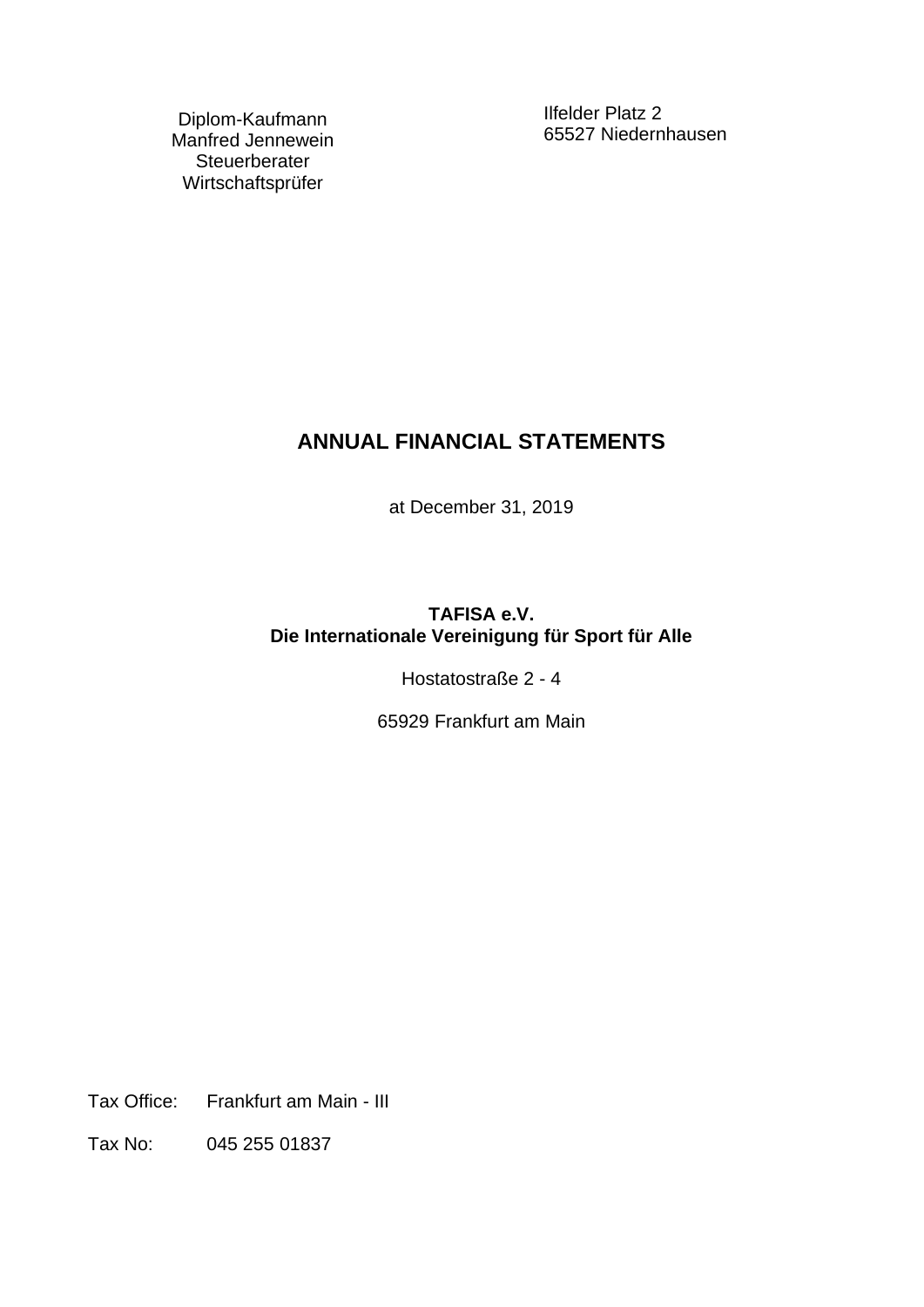Diplom-Kaufmann Manfred Jennewein **Steuerberater** Wirtschaftsprüfer

Ilfelder Platz 2 65527 Niedernhausen

# **ANNUAL FINANCIAL STATEMENTS**

at December 31, 2019

# **TAFISA e.V. Die Internationale Vereinigung für Sport für Alle**

Hostatostraße 2 - 4

65929 Frankfurt am Main

Tax Office: Frankfurt am Main - III

Tax No: 045 255 01837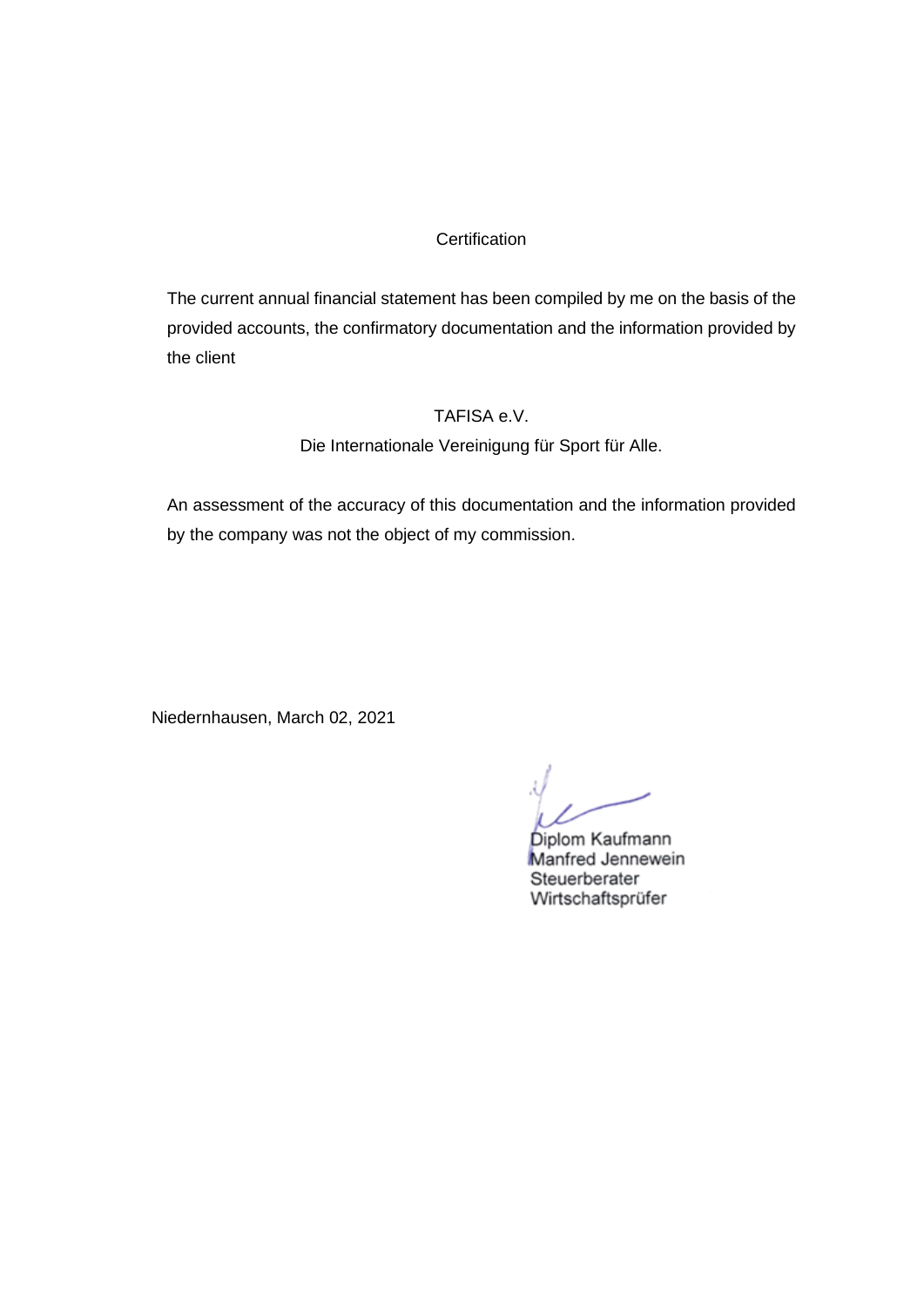## **Certification**

The current annual financial statement has been compiled by me on the basis of the provided accounts, the confirmatory documentation and the information provided by the client

### TAFISA e.V.

Die Internationale Vereinigung für Sport für Alle.

An assessment of the accuracy of this documentation and the information provided by the company was not the object of my commission.

Niedernhausen, March 02, 2021

Diplom Kaufmann Manfred Jennewein Steuerberater Wirtschaftsprüfer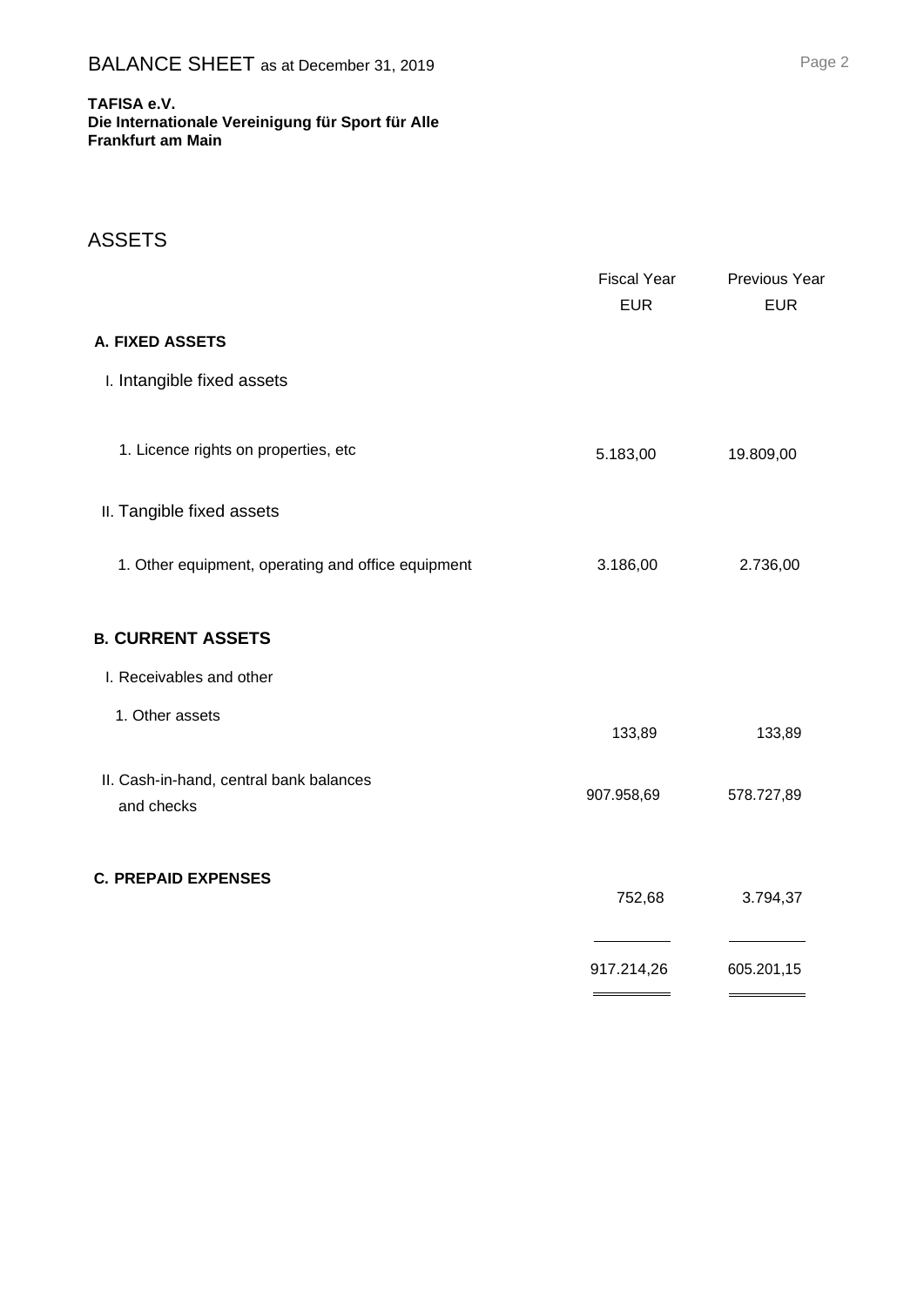#### **TAFISA e.V. Die Internationale Vereinigung für Sport für Alle**

**Frankfurt am Main**

# ASSETS

|                                                       | <b>Fiscal Year</b><br><b>EUR</b> | Previous Year<br><b>EUR</b> |
|-------------------------------------------------------|----------------------------------|-----------------------------|
| A. FIXED ASSETS                                       |                                  |                             |
| I. Intangible fixed assets                            |                                  |                             |
| 1. Licence rights on properties, etc                  | 5.183,00                         | 19.809,00                   |
| II. Tangible fixed assets                             |                                  |                             |
| 1. Other equipment, operating and office equipment    | 3.186,00                         | 2.736,00                    |
| <b>B. CURRENT ASSETS</b>                              |                                  |                             |
| I. Receivables and other                              |                                  |                             |
| 1. Other assets                                       | 133,89                           | 133,89                      |
| II. Cash-in-hand, central bank balances<br>and checks | 907.958,69                       | 578.727,89                  |
| <b>C. PREPAID EXPENSES</b>                            | 752,68                           | 3.794,37                    |
|                                                       | 917.214,26                       | 605.201,15                  |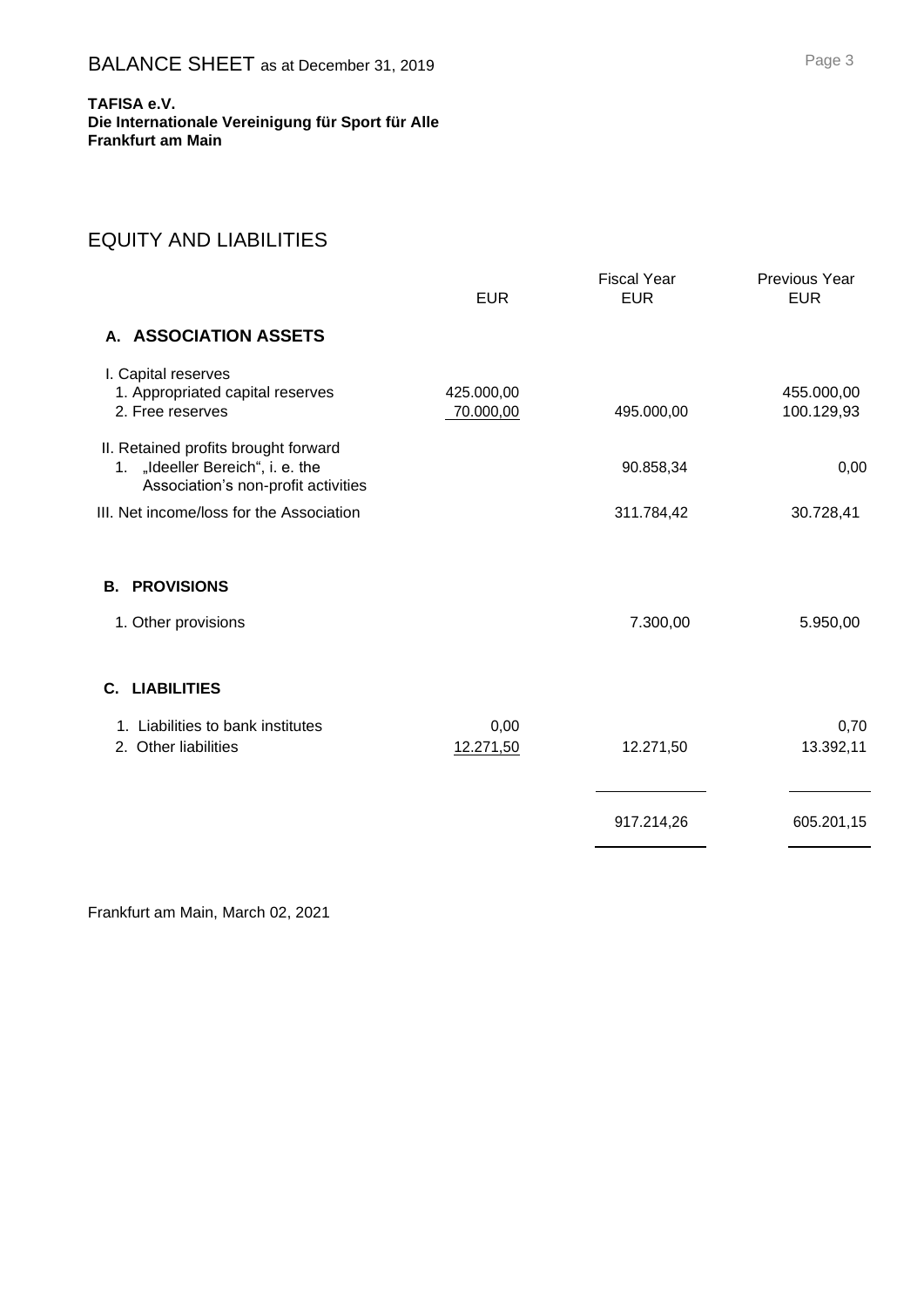**Die Internationale Vereinigung für Sport für Alle Frankfurt am Main**

# EQUITY AND LIABILITIES

|                                                                                                                 | <b>EUR</b>              | <b>Fiscal Year</b><br><b>EUR</b> | Previous Year<br><b>EUR</b> |
|-----------------------------------------------------------------------------------------------------------------|-------------------------|----------------------------------|-----------------------------|
| A. ASSOCIATION ASSETS                                                                                           |                         |                                  |                             |
| I. Capital reserves<br>1. Appropriated capital reserves<br>2. Free reserves                                     | 425.000,00<br>70.000,00 | 495.000,00                       | 455.000,00<br>100.129,93    |
| II. Retained profits brought forward<br>1. "Ideeller Bereich", i. e. the<br>Association's non-profit activities |                         | 90.858,34                        | 0,00                        |
| III. Net income/loss for the Association                                                                        |                         | 311.784,42                       | 30.728,41                   |
| <b>PROVISIONS</b><br>В.<br>1. Other provisions                                                                  |                         | 7.300,00                         | 5.950,00                    |
| C. LIABILITIES                                                                                                  |                         |                                  |                             |
| 1. Liabilities to bank institutes<br>2. Other liabilities                                                       | 0,00<br>12.271,50       | 12.271,50                        | 0,70<br>13.392,11           |
|                                                                                                                 |                         | 917.214,26                       | 605.201,15                  |

Frankfurt am Main, March 02, 2021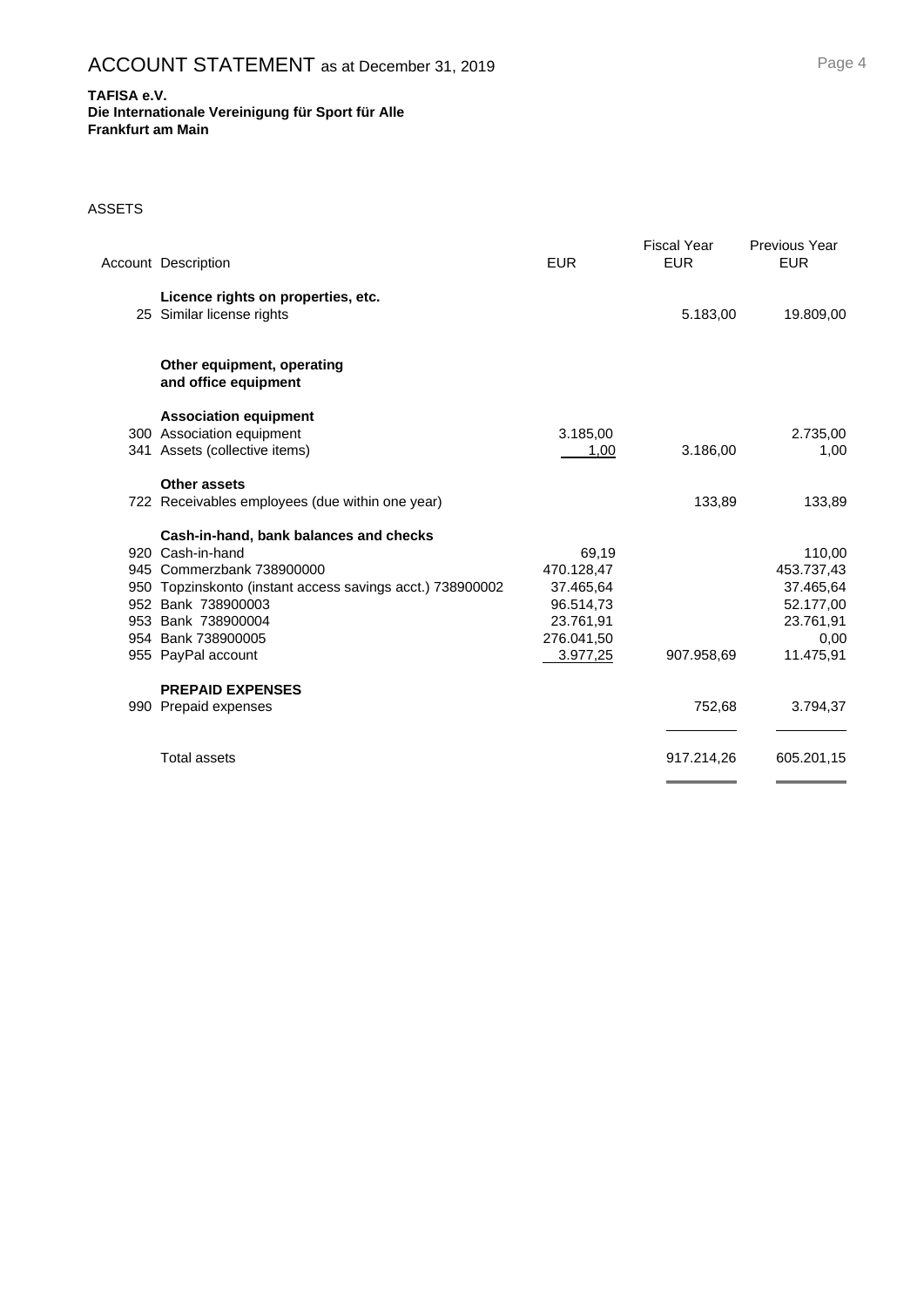#### **Die Internationale Vereinigung für Sport für Alle Frankfurt am Main**

#### ASSETS

| <b>Account Description</b>                                      | <b>EUR</b> | <b>Fiscal Year</b><br><b>EUR</b> | <b>Previous Year</b><br><b>EUR</b> |
|-----------------------------------------------------------------|------------|----------------------------------|------------------------------------|
| Licence rights on properties, etc.<br>25 Similar license rights |            | 5.183,00                         | 19.809,00                          |
| Other equipment, operating<br>and office equipment              |            |                                  |                                    |
| <b>Association equipment</b>                                    |            |                                  |                                    |
| 300 Association equipment                                       | 3.185,00   |                                  | 2.735,00                           |
| 341 Assets (collective items)                                   | 1.00       | 3.186,00                         | 1,00                               |
| Other assets                                                    |            |                                  |                                    |
| 722 Receivables employees (due within one year)                 |            | 133,89                           | 133,89                             |
| Cash-in-hand, bank balances and checks                          |            |                                  |                                    |
| 920 Cash-in-hand                                                | 69,19      |                                  | 110,00                             |
| 945 Commerzbank 738900000                                       | 470.128,47 |                                  | 453.737,43                         |
| 950 Topzinskonto (instant access savings acct.) 738900002       | 37.465,64  |                                  | 37.465,64                          |
| 952 Bank 738900003                                              | 96.514,73  |                                  | 52.177,00                          |
| 953 Bank 738900004                                              | 23.761,91  |                                  | 23.761,91                          |
| 954 Bank 738900005                                              | 276.041,50 |                                  | 0,00                               |
| 955 PayPal account                                              | 3.977,25   | 907.958,69                       | 11.475,91                          |
| <b>PREPAID EXPENSES</b>                                         |            |                                  |                                    |
| 990 Prepaid expenses                                            |            | 752,68                           | 3.794,37                           |
| <b>Total assets</b>                                             |            | 917.214,26                       | 605.201,15                         |
|                                                                 |            |                                  |                                    |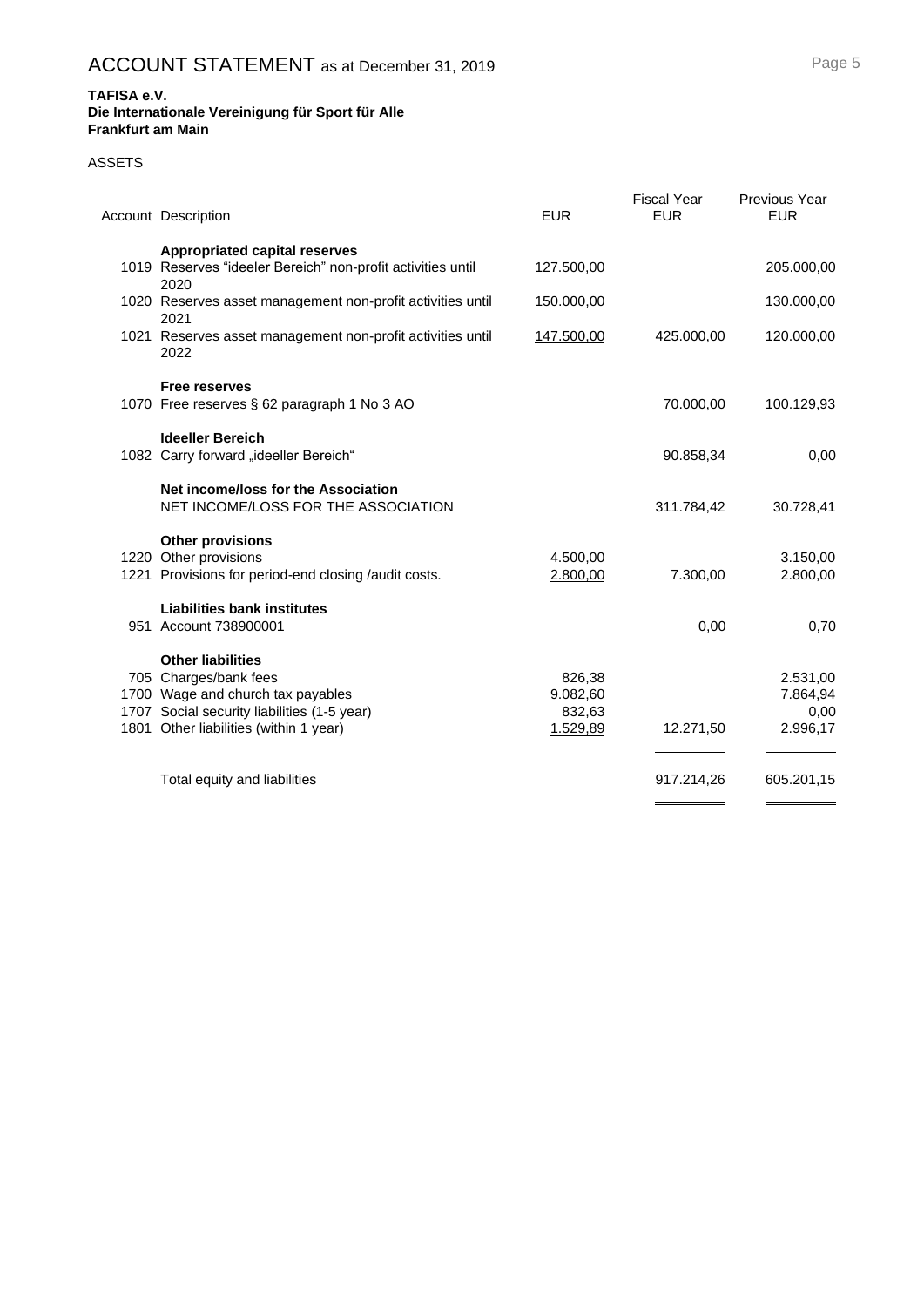#### **Die Internationale Vereinigung für Sport für Alle Frankfurt am Main**

#### ASSETS

| <b>Account Description</b>                                                    | <b>EUR</b>           | <b>Fiscal Year</b><br><b>EUR</b> | <b>Previous Year</b><br><b>EUR</b> |
|-------------------------------------------------------------------------------|----------------------|----------------------------------|------------------------------------|
| <b>Appropriated capital reserves</b>                                          |                      |                                  |                                    |
| 1019 Reserves "ideeler Bereich" non-profit activities until<br>2020           | 127.500,00           |                                  | 205.000,00                         |
| 1020 Reserves asset management non-profit activities until<br>2021            | 150.000,00           |                                  | 130.000,00                         |
| 1021 Reserves asset management non-profit activities until<br>2022            | 147.500,00           | 425.000,00                       | 120.000,00                         |
| <b>Free reserves</b>                                                          |                      |                                  |                                    |
| 1070 Free reserves § 62 paragraph 1 No 3 AO                                   |                      | 70.000,00                        | 100.129,93                         |
| <b>Ideeller Bereich</b>                                                       |                      |                                  |                                    |
| 1082 Carry forward "ideeller Bereich"                                         |                      | 90.858,34                        | 0,00                               |
| Net income/loss for the Association                                           |                      |                                  |                                    |
| NET INCOME/LOSS FOR THE ASSOCIATION                                           |                      | 311.784,42                       | 30.728,41                          |
| <b>Other provisions</b>                                                       |                      |                                  |                                    |
| 1220 Other provisions<br>1221 Provisions for period-end closing /audit costs. | 4.500,00<br>2.800,00 | 7.300,00                         | 3.150,00<br>2.800,00               |
|                                                                               |                      |                                  |                                    |
| <b>Liabilities bank institutes</b>                                            |                      |                                  |                                    |
| 951 Account 738900001                                                         |                      | 0,00                             | 0,70                               |
| <b>Other liabilities</b>                                                      |                      |                                  |                                    |
| 705 Charges/bank fees                                                         | 826,38               |                                  | 2.531,00                           |
| 1700 Wage and church tax payables                                             | 9.082,60             |                                  | 7.864,94                           |
| 1707 Social security liabilities (1-5 year)                                   | 832,63               |                                  | 0,00                               |
| 1801 Other liabilities (within 1 year)                                        | 1.529,89             | 12.271,50                        | 2.996,17                           |
| Total equity and liabilities                                                  |                      | 917.214,26                       | 605.201,15                         |
|                                                                               |                      |                                  | _______                            |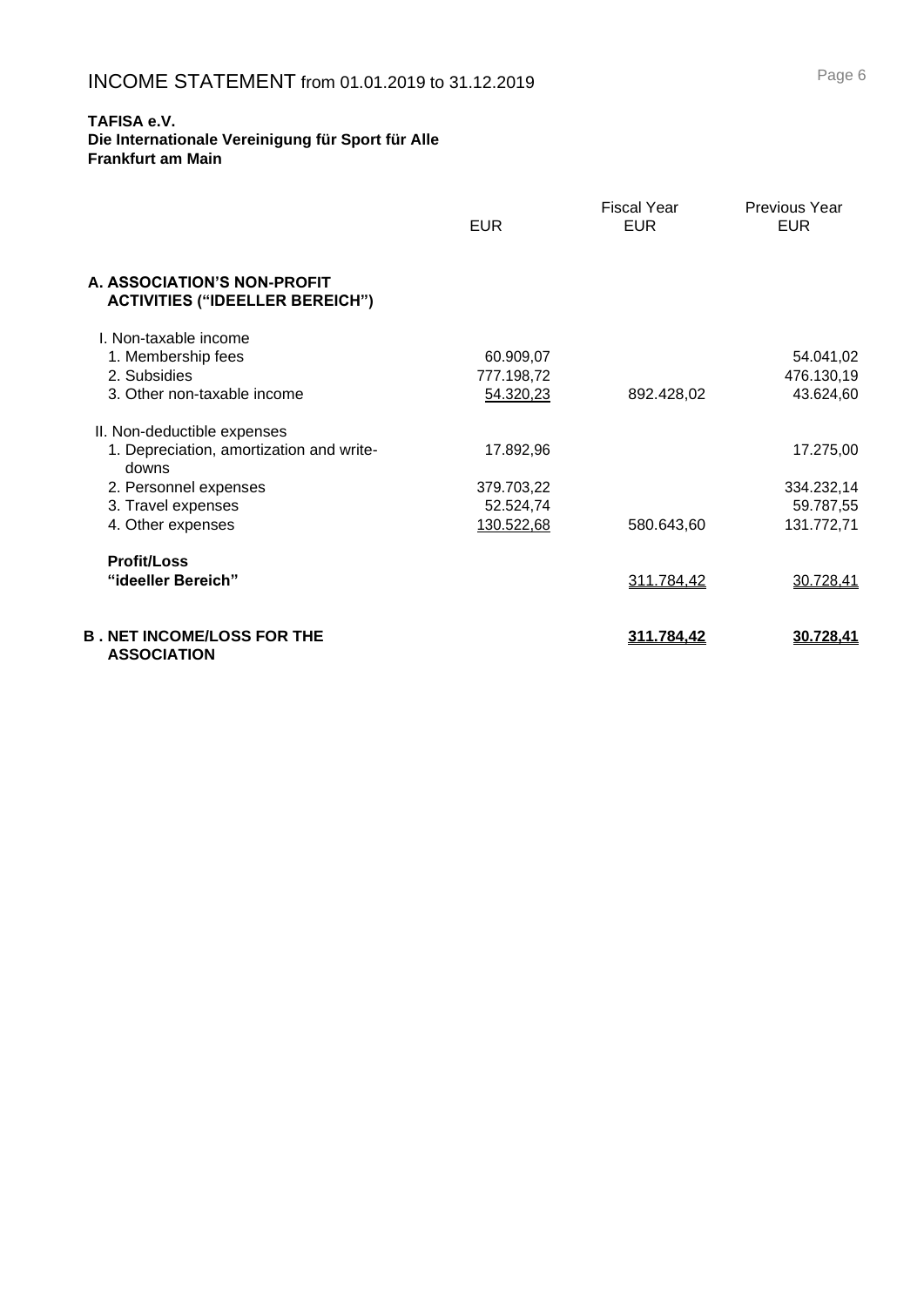**Die Internationale Vereinigung für Sport für Alle Frankfurt am Main**

|                                                                       | <b>EUR</b> | Fiscal Year<br><b>EUR</b> | <b>Previous Year</b><br><b>EUR</b> |
|-----------------------------------------------------------------------|------------|---------------------------|------------------------------------|
| A. ASSOCIATION'S NON-PROFIT<br><b>ACTIVITIES ("IDEELLER BEREICH")</b> |            |                           |                                    |
| L. Non-taxable income                                                 |            |                           |                                    |
| 1. Membership fees                                                    | 60.909,07  |                           | 54.041,02                          |
| 2. Subsidies                                                          | 777.198,72 |                           | 476.130,19                         |
| 3. Other non-taxable income                                           | 54.320,23  | 892.428,02                | 43.624,60                          |
| II. Non-deductible expenses                                           |            |                           |                                    |
| 1. Depreciation, amortization and write-<br>downs                     | 17.892,96  |                           | 17.275,00                          |
| 2. Personnel expenses                                                 | 379.703,22 |                           | 334.232,14                         |
| 3. Travel expenses                                                    | 52.524,74  |                           | 59.787,55                          |
| 4. Other expenses                                                     | 130.522,68 | 580.643,60                | 131.772,71                         |
| <b>Profit/Loss</b>                                                    |            |                           |                                    |
| "ideeller Bereich"                                                    |            | 311.784,42                | 30.728,41                          |
| <b>B . NET INCOME/LOSS FOR THE</b><br><b>ASSOCIATION</b>              |            | <u>311.784,42</u>         | 30.728.41                          |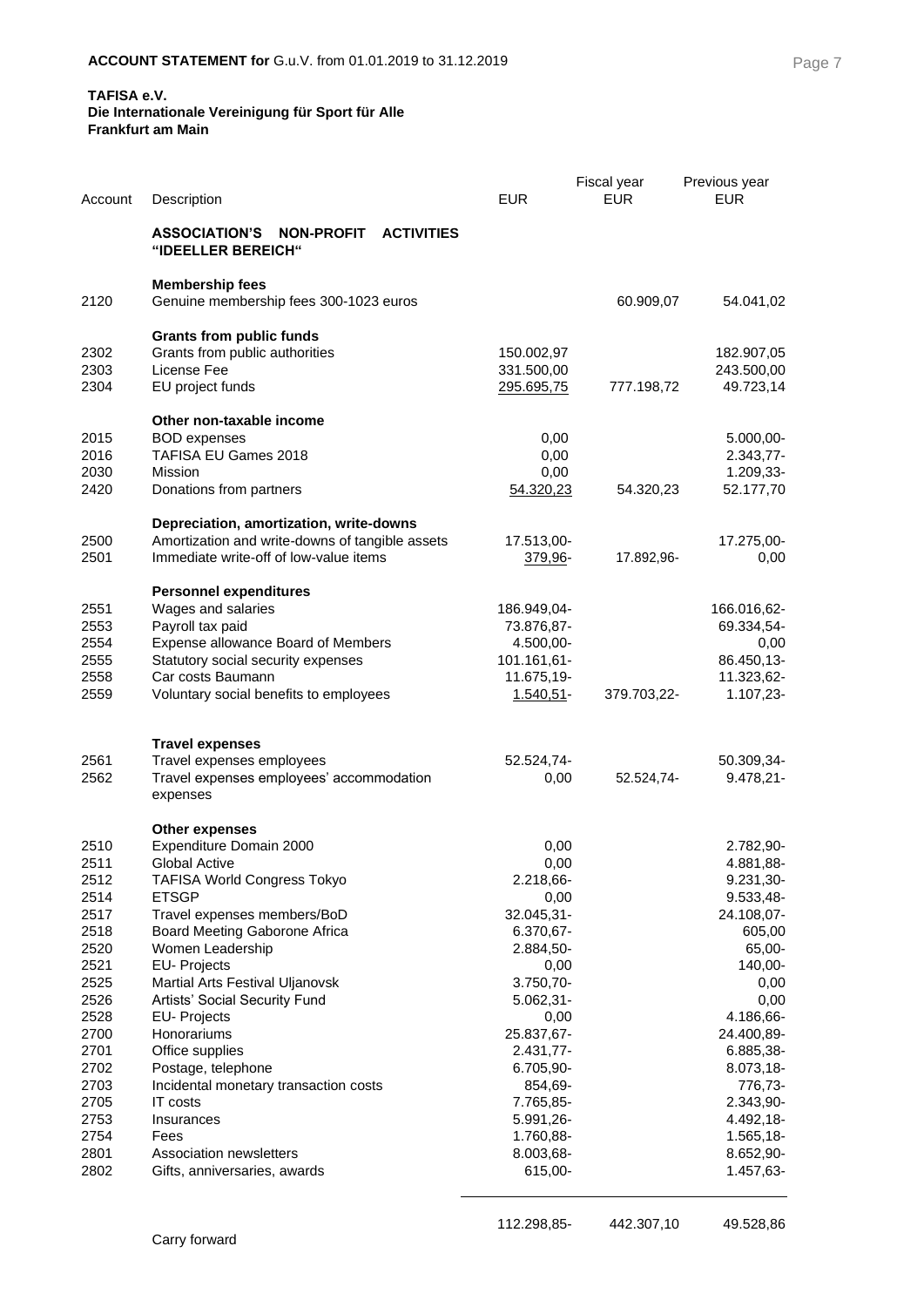#### **Die Internationale Vereinigung für Sport für Alle Frankfurt am Main**

| Account                                                                                                                                              | Description                                                                                                                                                                                                                                                                                                                                                                                                                                                                         | <b>EUR</b>                                                                                                                                                                                                                   | Fiscal year<br><b>EUR</b> | Previous year<br><b>EUR</b>                                                                                                                                                                                                       |
|------------------------------------------------------------------------------------------------------------------------------------------------------|-------------------------------------------------------------------------------------------------------------------------------------------------------------------------------------------------------------------------------------------------------------------------------------------------------------------------------------------------------------------------------------------------------------------------------------------------------------------------------------|------------------------------------------------------------------------------------------------------------------------------------------------------------------------------------------------------------------------------|---------------------------|-----------------------------------------------------------------------------------------------------------------------------------------------------------------------------------------------------------------------------------|
|                                                                                                                                                      | <b>ASSOCIATION'S</b><br><b>NON-PROFIT</b><br><b>ACTIVITIES</b><br>"IDEELLER BEREICH"                                                                                                                                                                                                                                                                                                                                                                                                |                                                                                                                                                                                                                              |                           |                                                                                                                                                                                                                                   |
| 2120                                                                                                                                                 | <b>Membership fees</b><br>Genuine membership fees 300-1023 euros                                                                                                                                                                                                                                                                                                                                                                                                                    |                                                                                                                                                                                                                              | 60.909,07                 | 54.041,02                                                                                                                                                                                                                         |
| 2302<br>2303<br>2304                                                                                                                                 | <b>Grants from public funds</b><br>Grants from public authorities<br>License Fee<br>EU project funds                                                                                                                                                                                                                                                                                                                                                                                | 150.002,97<br>331.500,00<br><u>295.695,75</u>                                                                                                                                                                                | 777.198,72                | 182.907,05<br>243.500,00<br>49.723,14                                                                                                                                                                                             |
| 2015<br>2016<br>2030<br>2420                                                                                                                         | Other non-taxable income<br><b>BOD</b> expenses<br>TAFISA EU Games 2018<br>Mission<br>Donations from partners                                                                                                                                                                                                                                                                                                                                                                       | 0,00<br>0,00<br>0,00<br>54.320,23                                                                                                                                                                                            | 54.320,23                 | 5.000,00-<br>2.343,77-<br>1.209,33-<br>52.177,70                                                                                                                                                                                  |
| 2500<br>2501                                                                                                                                         | Depreciation, amortization, write-downs<br>Amortization and write-downs of tangible assets<br>Immediate write-off of low-value items                                                                                                                                                                                                                                                                                                                                                | 17.513,00-<br>379,96-                                                                                                                                                                                                        | 17.892,96-                | 17.275,00-<br>0,00                                                                                                                                                                                                                |
| 2551<br>2553<br>2554<br>2555<br>2558<br>2559                                                                                                         | <b>Personnel expenditures</b><br>Wages and salaries<br>Payroll tax paid<br>Expense allowance Board of Members<br>Statutory social security expenses<br>Car costs Baumann<br>Voluntary social benefits to employees                                                                                                                                                                                                                                                                  | 186.949,04-<br>73.876,87-<br>4.500,00-<br>101.161,61-<br>11.675,19-<br>1.540,51-                                                                                                                                             | 379.703,22-               | 166.016,62-<br>69.334,54-<br>0,00<br>86.450,13-<br>11.323,62-<br>1.107,23-                                                                                                                                                        |
| 2561<br>2562                                                                                                                                         | <b>Travel expenses</b><br>Travel expenses employees<br>Travel expenses employees' accommodation<br>expenses                                                                                                                                                                                                                                                                                                                                                                         | 52.524,74-<br>0,00                                                                                                                                                                                                           | 52.524,74-                | 50.309,34-<br>$9.478,21-$                                                                                                                                                                                                         |
| 2510<br>2511<br>2512<br>2514<br>2517<br>2518<br>2520<br>2521<br>2525<br>2526<br>2528<br>2700<br>2701<br>2702<br>2703<br>2705<br>2753<br>2754<br>2801 | <b>Other expenses</b><br>Expenditure Domain 2000<br>Global Active<br><b>TAFISA World Congress Tokyo</b><br><b>ETSGP</b><br>Travel expenses members/BoD<br>Board Meeting Gaborone Africa<br>Women Leadership<br><b>EU-Projects</b><br>Martial Arts Festival Uljanovsk<br>Artists' Social Security Fund<br>EU- Projects<br>Honorariums<br>Office supplies<br>Postage, telephone<br>Incidental monetary transaction costs<br>IT costs<br>Insurances<br>Fees<br>Association newsletters | 0,00<br>0,00<br>2.218,66-<br>0,00<br>32.045,31-<br>6.370,67-<br>2.884,50-<br>0,00<br>3.750,70-<br>$5.062,31-$<br>0,00<br>25.837,67-<br>2.431,77-<br>6.705,90-<br>854,69-<br>7.765,85-<br>5.991,26-<br>1.760,88-<br>8.003,68- |                           | 2.782,90-<br>4.881,88-<br>9.231,30-<br>9.533,48-<br>24.108,07-<br>605,00<br>65,00-<br>140,00-<br>0,00<br>0,00<br>4.186,66-<br>24.400,89-<br>6.885,38-<br>8.073,18-<br>776,73-<br>2.343,90-<br>4.492,18-<br>1.565,18-<br>8.652,90- |
| 2802                                                                                                                                                 | Gifts, anniversaries, awards                                                                                                                                                                                                                                                                                                                                                                                                                                                        | 615,00-                                                                                                                                                                                                                      |                           | 1.457,63-                                                                                                                                                                                                                         |